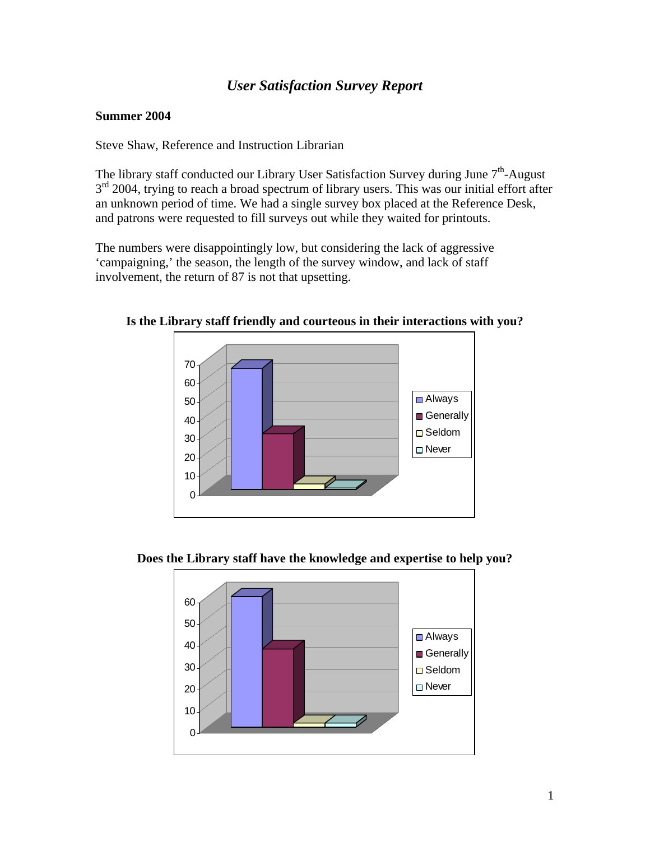## *User Satisfaction Survey Report*

## **Summer 2004**

Steve Shaw, Reference and Instruction Librarian

The library staff conducted our Library User Satisfaction Survey during June  $7<sup>th</sup>$ -August  $3<sup>rd</sup>$  2004, trying to reach a broad spectrum of library users. This was our initial effort after an unknown period of time. We had a single survey box placed at the Reference Desk, and patrons were requested to fill surveys out while they waited for printouts.

The numbers were disappointingly low, but considering the lack of aggressive 'campaigning,' the season, the length of the survey window, and lack of staff involvement, the return of 87 is not that upsetting.



**Is the Library staff friendly and courteous in their interactions with you?** 



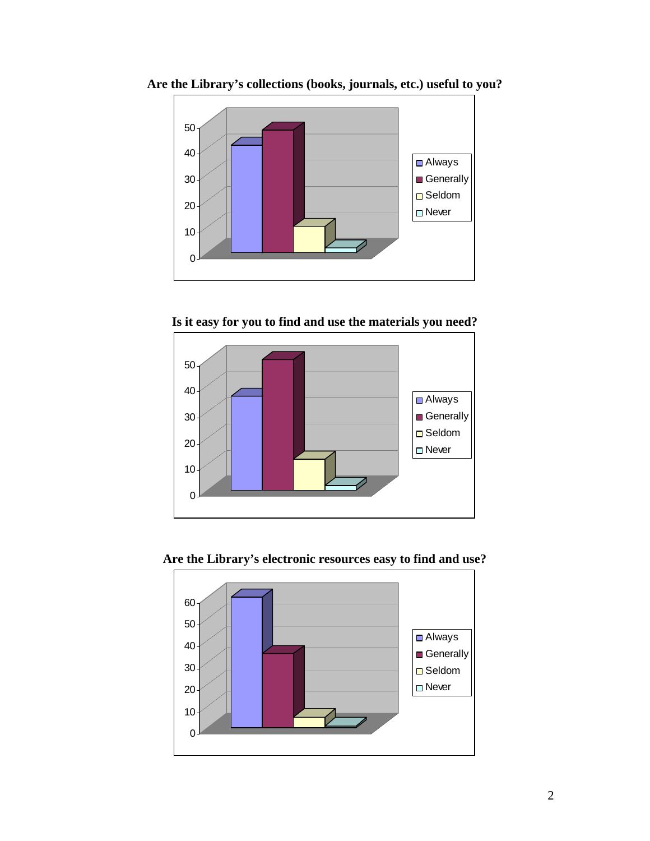

**Are the Library's collections (books, journals, etc.) useful to you?** 

**Is it easy for you to find and use the materials you need?**



**Are the Library's electronic resources easy to find and use?**

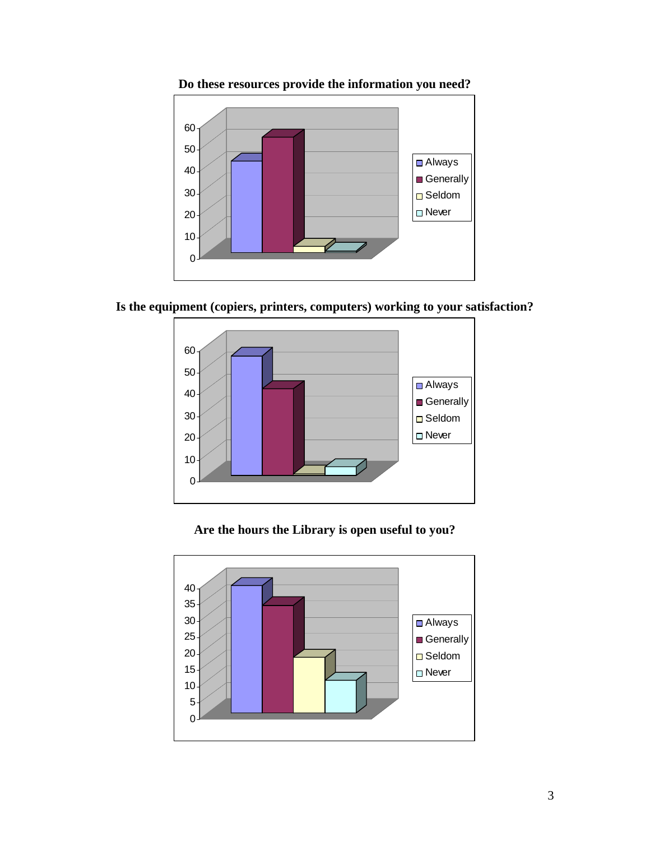

**Do these resources provide the information you need?**

**Is the equipment (copiers, printers, computers) working to your satisfaction?**



**Are the hours the Library is open useful to you?**